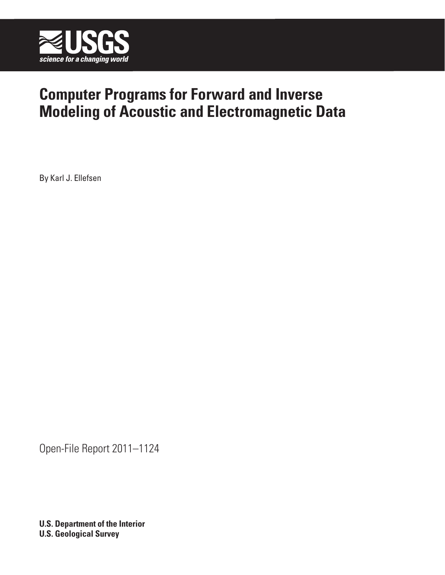

# **Computer Programs for Forward and Inverse Modeling of Acoustic and Electromagnetic Data**

By Karl J. Ellefsen

Open-File Report 2011–1124

**U.S. Department of the Interior U.S. Geological Survey**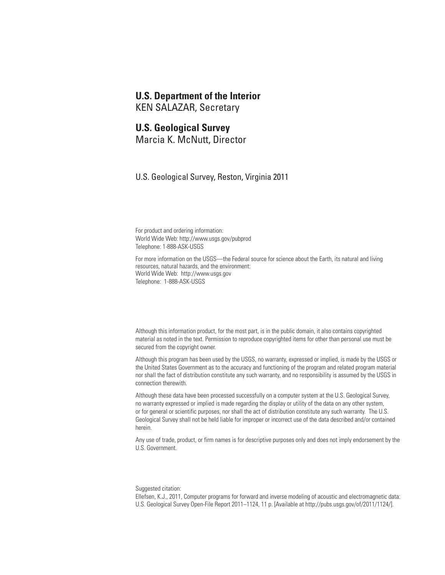#### **U.S. Department of the Interior**

KEN SALAZAR, Secretary

#### **U.S. Geological Survey**

Marcia K. McNutt, Director

U.S. Geological Survey, Reston, Virginia 2011

For product and ordering information: World Wide We[b: http://www.usgs.gov/pubprod](http://www.usgs.gov/pubprod) Telephone: 1-888-ASK-USGS

For more information on the USGS—the Federal source for science about the Earth, its natural and living resources, natural hazards, and the environment: World Wide Web[: http://www.usgs.gov](http://www.usgs.gov) Telephone: 1-888-ASK-USGS

Although this information product, for the most part, is in the public domain, it also contains copyrighted material as noted in the text. Permission to reproduce copyrighted items for other than personal use must be secured from the copyright owner.

Although this program has been used by the USGS, no warranty, expressed or implied, is made by the USGS or the United States Government as to the accuracy and functioning of the program and related program material nor shall the fact of distribution constitute any such warranty, and no responsibility is assumed by the USGS in connection therewith.

Although these data have been processed successfully on a computer system at the U.S. Geological Survey, no warranty expressed or implied is made regarding the display or utility of the data on any other system, or for general or scientific purposes, nor shall the act of distribution constitute any such warranty. The U.S. Geological Survey shall not be held liable for improper or incorrect use of the data described and/or contained herein.

Any use of trade, product, or firm names is for descriptive purposes only and does not imply endorsement by the U.S. Government.

Suggested citation:

Ellefsen, K.J., 2011, Computer programs for forward and inverse modeling of acoustic and electromagnetic data: U.S. Geological Survey Open-File Report 2011–1124, 11 p. [\[Available at http://pubs.usgs.gov/of/2011/1124/\].](http://pubs.usgs.gov/of/2011/1124)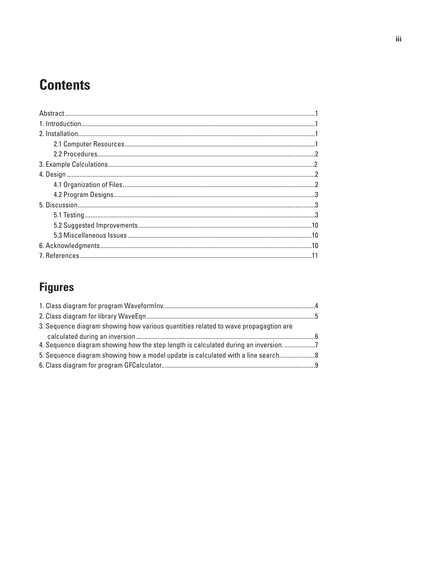# **Contents**

# **Figures**

| 3. Sequence diagram showing how various quantities related to wave propagagtion are |  |
|-------------------------------------------------------------------------------------|--|
|                                                                                     |  |
| 4. Sequence diagram showing how the step length is calculated during an inversion.  |  |
| 5. Sequence diagram showing how a model update is calculated with a line search     |  |
|                                                                                     |  |
|                                                                                     |  |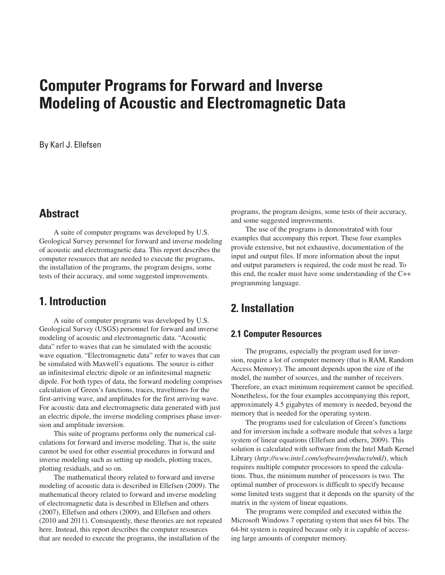# **Computer Programs for Forward and Inverse Modeling of Acoustic and Electromagnetic Data**

By Karl J. Ellefsen

## **Abstract**

A suite of computer programs was developed by U.S. Geological Survey personnel for forward and inverse modeling of acoustic and electromagnetic data. This report describes the computer resources that are needed to execute the programs, the installation of the programs, the program designs, some tests of their accuracy, and some suggested improvements.

## **1. Introduction**

A suite of computer programs was developed by U.S. Geological Survey (USGS) personnel for forward and inverse modeling of acoustic and electromagnetic data. "Acoustic data" refer to waves that can be simulated with the acoustic wave equation. "Electromagnetic data" refer to waves that can be simulated with Maxwell's equations. The source is either an infinitesimal electric dipole or an infinitesimal magnetic dipole. For both types of data, the forward modeling comprises calculation of Green's functions, traces, traveltimes for the first-arriving wave, and amplitudes for the first arriving wave. For acoustic data and electromagnetic data generated with just an electric dipole, the inverse modeling comprises phase inversion and amplitude inversion.

This suite of programs performs only the numerical calculations for forward and inverse modeling. That is, the suite cannot be used for other essential procedures in forward and inverse modeling such as setting up models, plotting traces, plotting residuals, and so on.

The mathematical theory related to forward and inverse modeling of acoustic data is described in Ellefsen (2009). The mathematical theory related to forward and inverse modeling of electromagnetic data is described in Ellefsen and others (2007), Ellefsen and others (2009), and Ellefsen and others (2010 and 2011). Consequently, these theories are not repeated here. Instead, this report describes the computer resources that are needed to execute the programs, the installation of the

programs, the program designs, some tests of their accuracy, and some suggested improvements.

The use of the programs is demonstrated with four examples that accompany this report. These four examples provide extensive, but not exhaustive, documentation of the input and output files. If more information about the input and output parameters is required, the code must be read. To this end, the reader must have some understanding of the C++ programming language.

# **2. Installation**

#### **2.1 Computer Resources**

The programs, especially the program used for inversion, require a lot of computer memory (that is RAM, Random Access Memory). The amount depends upon the size of the model, the number of sources, and the number of receivers. Therefore, an exact minimum requirement cannot be specified. Nonetheless, for the four examples accompanying this report, approximately 4.5 gigabytes of memory is needed, beyond the memory that is needed for the operating system.

The programs used for calculation of Green's functions and for inversion include a software module that solves a large system of linear equations (Ellefsen and others, 2009). This solution is calculated with software from the Intel Math Kernel Library (*<http://www.intel.com/software/products/mkl>*), which requires multiple computer processors to speed the calculations. Thus, the minimum number of processors is two. The optimal number of processors is difficult to specify because some limited tests suggest that it depends on the sparsity of the matrix in the system of linear equations.

The programs were compiled and executed within the Microsoft Windows 7 operating system that uses 64 bits. The 64-bit system is required because only it is capable of accessing large amounts of computer memory.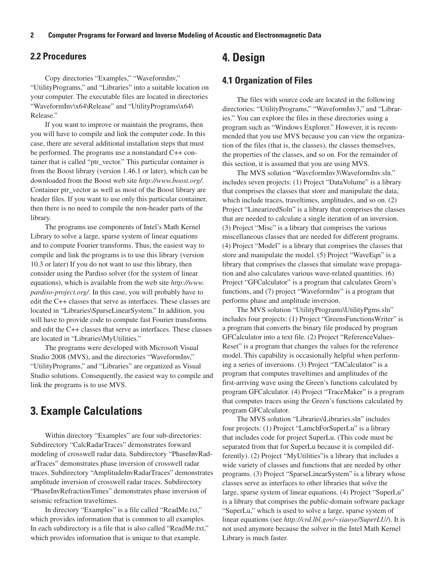#### **2.2 Procedures**

Copy directories "Examples," "WaveformInv," "UtilityPrograms," and "Libraries" into a suitable location on your computer. The executable files are located in directories "WaveformInv\x64\Release" and "UtilityPrograms\x64\ Release."

If you want to improve or maintain the programs, then you will have to compile and link the computer code. In this case, there are several additional installation steps that must be performed. The programs use a nonstandard C++ container that is called "ptr\_vector." This particular container is from the Boost library (version 1.46.1 or later), which can be downloaded from the Boost web site *<http://www.boost.org/>*. Container ptr\_vector as well as most of the Boost library are header files. If you want to use only this particular container, then there is no need to compile the non-header parts of the library.

The programs use components of Intel's Math Kernel Library to solve a large, sparse system of linear equations and to compute Fourier transforms. Thus, the easiest way to compile and link the programs is to use this library (version 10.3 or later) If you do not want to use this library, then consider using the Pardiso solver (for the system of linear [equations\), which is available from the web site](http://www.pardiso-project.org/) *http://www. pardiso-project.org/*. In this case, you will probably have to edit the C++ classes that serve as interfaces. These classes are located in "Libraries\SparseLinearSystem." In addition, you will have to provide code to compute fast Fourier transforms and edit the C++ classes that serve as interfaces. These classes are located in "Libraries\MyUtilities."

The programs were developed with Microsoft Visual Studio 2008 (MVS), and the directories "WaveformInv," "UtilityPrograms," and "Libraries" are organized as Visual Studio solutions. Consequently, the easiest way to compile and link the programs is to use MVS.

### **3. Example Calculations**

Within directory "Examples" are four sub-directories: Subdirectory "CalcRadarTraces" demonstrates forward modeling of crosswell radar data. Subdirectory "PhaseInvRadarTraces" demonstrates phase inversion of crosswell radar traces. Subdirectory "AmplitudeInvRadarTraces" demonstrates amplitude inversion of crosswell radar traces. Subdirectory "PhaseInvRefractionTimes" demonstrates phase inversion of seismic refraction traveltimes.

In directory "Examples" is a file called "ReadMe.txt," which provides information that is common to all examples. In each subdirectory is a file that is also called "ReadMe.txt," which provides information that is unique to that example.

## **4. Design**

#### **4.1 Organization of Files**

The files with source code are located in the following directories: "UtilityPrograms," "WaveformInv3," and "Libraries." You can explore the files in these directories using a program such as "Windows Explorer." However, it is recommended that you use MVS because you can view the organization of the files (that is, the classes), the classes themselves, the properties of the classes, and so on. For the remainder of this section, it is assumed that you are using MVS.

The MVS solution "WaveformInv3\WaveformInv.sln." includes seven projects: (1) Project "DataVolume" is a library that comprises the classes that store and manipulate the data, which include traces, traveltimes, amplitudes, and so on. (2) Project "LinearizedSoln" is a library that comprises the classes that are needed to calculate a single iteration of an inversion. (3) Project "Misc" is a library that comprises the various miscellaneous classes that are needed for different programs. (4) Project "Model" is a library that comprises the classes that store and manipulate the model. (5) Project "WaveEqn" is a library that comprises the classes that simulate wave propagation and also calculates various wave-related quantities. (6) Project "GFCalculator" is a program that calculates Green's functions, and (7) project "WaveformInv" is a program that performs phase and amplitude inversion.

The MVS solution "UtilityPrograms\UtilityPgms.sln" includes four projects: (1) Project "GreensFunctionsWriter" is a program that converts the binary file produced by program GFCalculator into a text file. (2) Project "ReferenceValues-Reset" is a program that changes the values for the reference model. This capability is occasionally helpful when performing a series of inversions. (3) Project "TACalculator" is a program that computes traveltimes and amplitudes of the first-arriving wave using the Green's functions calculated by program GFCalculator. (4) Project "TraceMaker" is a program that computes traces using the Green's functions calculated by program GFCalculator.

The MVS solution "Libraries\Libraries.sln" includes four projects: (1) Project "LamchForSuperLu" is a library that includes code for project SuperLu. (This code must be separated from that for SuperLu because it is compiled differently). (2) Project "MyUtilities"is a library that includes a wide variety of classes and functions that are needed by other programs. (3) Project "SparseLinearSystem" is a library whose classes serve as interfaces to other libraries that solve the large, sparse system of linear equations. (4) Project "SuperLu" is a library that comprises the public-domain software package "SuperLu," which is used to solve a large, sparse system of linear equations (see *<http://crd.lbl.gov/~xiaoye/SuperLU/>*). It is not used anymore because the solver in the Intel Math Kernel Library is much faster.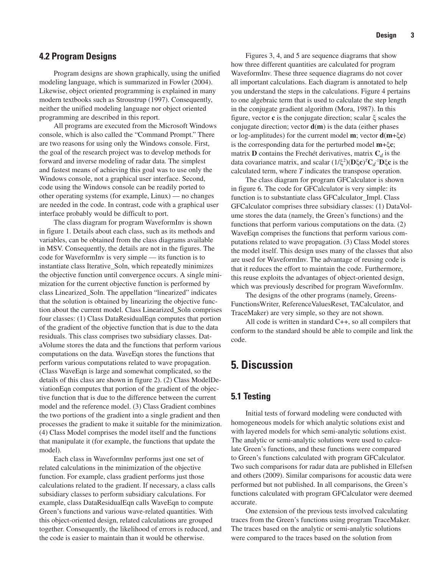#### **4.2 Program Designs**

Program designs are shown graphically, using the unified modeling language, which is summarized in Fowler (2004). Likewise, object oriented programming is explained in many modern textbooks such as Stroustrup (1997). Consequently, neither the unified modeling language nor object oriented programming are described in this report.

All programs are executed from the Microsoft Windows console, which is also called the "Command Prompt." There are two reasons for using only the Windows console. First, the goal of the research project was to develop methods for forward and inverse modeling of radar data. The simplest and fastest means of achieving this goal was to use only the Windows console, not a graphical user interface. Second, code using the Windows console can be readily ported to other operating systems (for example, Linux) — no changes are needed in the code. In contrast, code with a graphical user interface probably would be difficult to port.

The class diagram for program WaveformInv is shown in figure 1. Details about each class, such as its methods and variables, can be obtained from the class diagrams available in MSV. Consequently, the details are not in the figures. The code for WaveformInv is very simple — its function is to instantiate class Iterative\_Soln, which repeatedly minimizes the objective function until convergence occurs. A single minimization for the current objective function is performed by class Linearized\_Soln. The appellation "linearized" indicates that the solution is obtained by linearizing the objective function about the current model. Class Linearized\_Soln comprises four classes: (1) Class DataResidualEqn computes that portion of the gradient of the objective function that is due to the data residuals. This class comprises two subsidiary classes. DataVolume stores the data and the functions that perform various computations on the data. WaveEqn stores the functions that perform various computations related to wave propagation. (Class WaveEqn is large and somewhat complicated, so the details of this class are shown in figure 2). (2) Class ModelDeviationEqn computes that portion of the gradient of the objective function that is due to the difference between the current model and the reference model. (3) Class Gradient combines the two portions of the gradient into a single gradient and then processes the gradient to make it suitable for the minimization. (4) Class Model comprises the model itself and the functions that manipulate it (for example, the functions that update the model).

Each class in WaveformInv performs just one set of related calculations in the minimization of the objective function. For example, class gradient performs just those calculations related to the gradient. If necessary, a class calls subsidiary classes to perform subsidiary calculations. For example, class DataResidualEqn calls WaveEqn to compute Green's functions and various wave-related quantities. With this object-oriented design, related calculations are grouped together. Consequently, the likelihood of errors is reduced, and the code is easier to maintain than it would be otherwise.

Figures 3, 4, and 5 are sequence diagrams that show how three different quantities are calculated for program WaveformInv. These three sequence diagrams do not cover all important calculations. Each diagram is annotated to help you understand the steps in the calculations. Figure 4 pertains to one algebraic term that is used to calculate the step length in the conjugate gradient algorithm (Mora, 1987). In this figure, vector **c** is the conjugate direction; scalar ξ scales the conjugate direction; vector **d**(**m**) is the data (either phases or log-amplitudes) for the current model **m**; vector **d**(**m**+ξ**c**) is the corresponding data for the perturbed model **m**+ξ**c**; matrix **D** contains the Frechét derivatives, matrix  $C_d$  is the data covariance matrix, and scalar (1/ξ<sup>2</sup> )(**D**ξ**c**)*<sup>T</sup>* **C***d* -1**D**ξ**c** is the calculated term, where *T* indicates the transpose operation.

The class diagram for program GFCalculator is shown in figure 6. The code for GFCalculator is very simple: its function is to substantiate class GFCalculator\_Impl. Class GFCalculator comprises three subsidiary classes: (1) DataVolume stores the data (namely, the Green's functions) and the functions that perform various computations on the data. (2) WaveEqn comprises the functions that perform various computations related to wave propagation. (3) Class Model stores the model itself. This design uses many of the classes that also are used for WaveformInv. The advantage of reusing code is that it reduces the effort to maintain the code. Furthermore, this reuse exploits the advantages of object-oriented design, which was previously described for program WaveformInv.

The designs of the other programs (namely, Greens-FunctionsWriter, ReferenceValuesReset, TACalculator, and TraceMaker) are very simple, so they are not shown.

All code is written in standard C++, so all compilers that conform to the standard should be able to compile and link the code.

## **5. Discussion**

#### **5.1 Testing**

Initial tests of forward modeling were conducted with homogeneous models for which analytic solutions exist and with layered models for which semi-analytic solutions exist. The analytic or semi-analytic solutions were used to calculate Green's functions, and these functions were compared to Green's functions calculated with program GFCalculator. Two such comparisons for radar data are published in Ellefsen and others (2009). Similar comparisons for acoustic data were performed but not published. In all comparisons, the Green's functions calculated with program GFCalculator were deemed accurate.

One extension of the previous tests involved calculating traces from the Green's functions using program TraceMaker. The traces based on the analytic or semi-analytic solutions were compared to the traces based on the solution from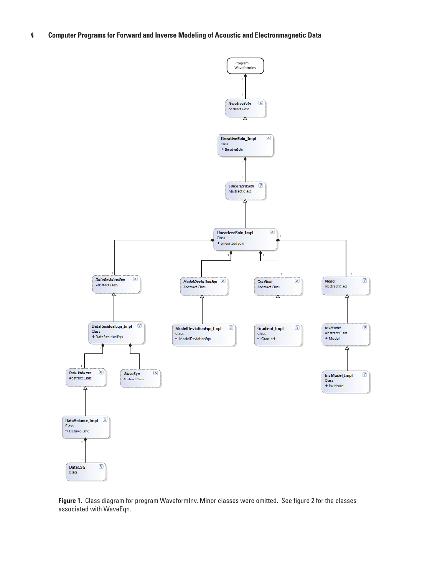



**Figure 1.** Class diagram for program WaveformInv. Minor classes were omitted. See figure 2 for the classes associated with WaveEqn.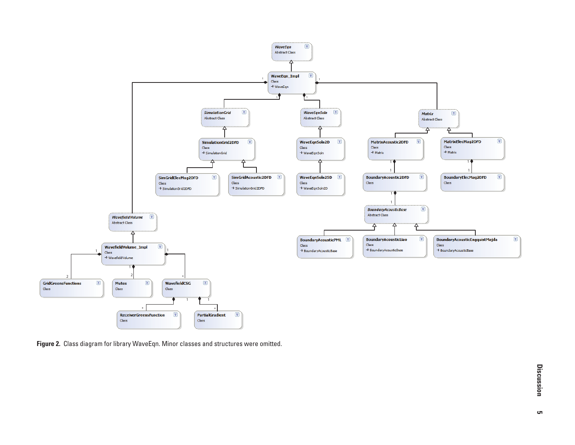

**Figure 2.** Class diagram for library WaveEqn. Minor classes and structures were omitted.

**Discussion**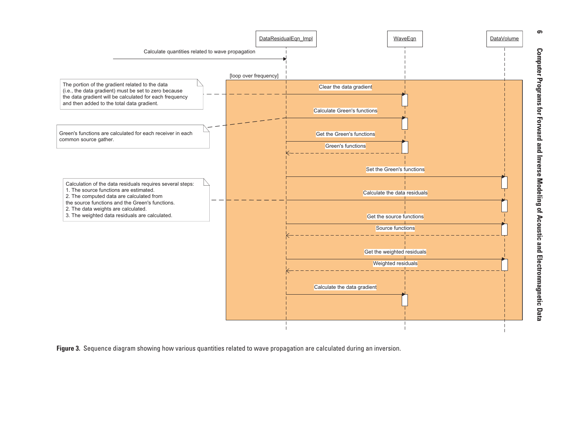

**Figure 3.** Sequence diagram showing how various quantities related to wave propagation are calculated during an inversion.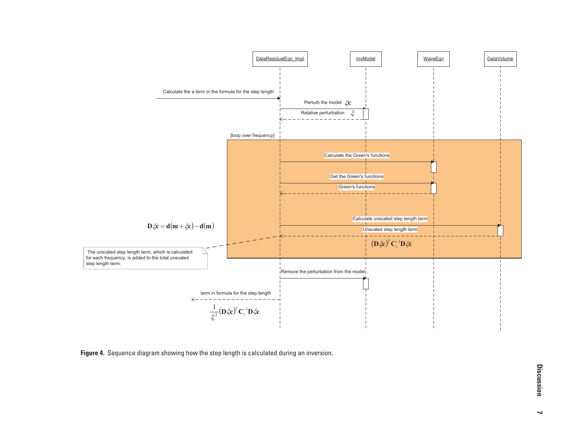

**Figure 4.** Sequence diagram showing how the step length is calculated during an inversion.

**Discussion** 

 $\overline{\phantom{0}}$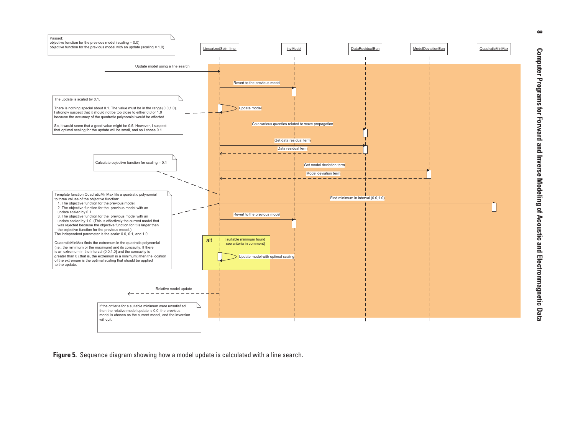

**Figure 5.** Sequence diagram showing how a model update is calculated with a line search.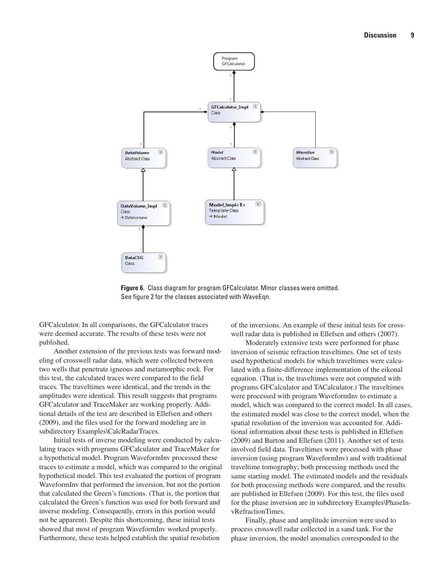

**Figure 6.** Class diagram for program GFCalculator. Minor classes were omitted. See figure 2 for the classes associated with WaveEqn.

GFCalculator. In all comparisons, the GFCalculator traces were deemed accurate. The results of these tests were not published.

Another extension of the previous tests was forward modeling of crosswell radar data, which were collected between two wells that penetrate igneous and metamorphic rock. For this test, the calculated traces were compared to the field traces. The traveltimes were identical, and the trends in the amplitudes were identical. This result suggests that programs GFCalculator and TraceMaker are working properly. Additional details of the test are described in Ellefsen and others (2009), and the files used for the forward modeling are in subdirectory Examples\CalcRadarTraces.

Initial tests of inverse modeling were conducted by calculating traces with programs GFCalculator and TraceMaker for a hypothetical model. Program WaveformInv processed these traces to estimate a model, which was compared to the original hypothetical model. This test evaluated the portion of program WaveformInv that performed the inversion, but not the portion that calculated the Green's functions. (That is, the portion that calculated the Green's function was used for both forward and inverse modeling. Consequently, errors in this portion would not be apparent). Despite this shortcoming, these initial tests showed that most of program WaveformInv worked properly. Furthermore, these tests helped establish the spatial resolution

of the inversions. An example of these initial tests for crosswell radar data is published in Ellefsen and others (2007).

Moderately extensive tests were performed for phase inversion of seismic refraction traveltimes. One set of tests used hypothetical models for which traveltimes were calculated with a finite-difference implementation of the eikonal equation. (That is, the traveltimes were not computed with programs GFCalculator and TACalculator.) The traveltimes were processed with program WaveformInv to estimate a model, which was compared to the correct model. In all cases, the estimated model was close to the correct model, when the spatial resolution of the inversion was accounted for. Additional information about these tests is published in Ellefsen (2009) and Burton and Ellefsen (2011). Another set of tests involved field data. Traveltimes were processed with phase inversion (using program WaveformInv) and with traditional traveltime tomography; both processing methods used the same starting model. The estimated models and the residuals for both processing methods were compared, and the results are published in Ellefsen (2009). For this test, the files used for the phase inversion are in subdirectory Examples\PhaseInvRefractionTimes.

Finally, phase and amplitude inversion were used to process crosswell radar collected in a sand tank. For the phase inversion, the model anomalies corresponded to the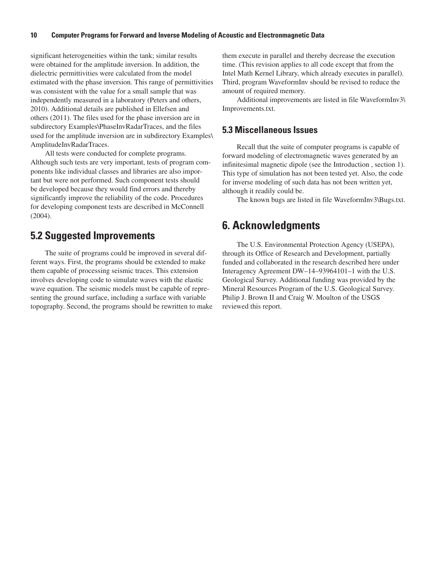#### **10 Computer Programs for Forward and Inverse Modeling of Acoustic and Electronmagnetic Data**

significant heterogeneities within the tank; similar results were obtained for the amplitude inversion. In addition, the dielectric permittivities were calculated from the model estimated with the phase inversion. This range of permittivities was consistent with the value for a small sample that was independently measured in a laboratory (Peters and others, 2010). Additional details are published in Ellefsen and others (2011). The files used for the phase inversion are in subdirectory Examples\PhaseInvRadarTraces, and the files used for the amplitude inversion are in subdirectory Examples\ AmplitudeInvRadarTraces.

All tests were conducted for complete programs. Although such tests are very important, tests of program components like individual classes and libraries are also important but were not performed. Such component tests should be developed because they would find errors and thereby significantly improve the reliability of the code. Procedures for developing component tests are described in McConnell (2004).

### **5.2 Suggested Improvements**

The suite of programs could be improved in several different ways. First, the programs should be extended to make them capable of processing seismic traces. This extension involves developing code to simulate waves with the elastic wave equation. The seismic models must be capable of representing the ground surface, including a surface with variable topography. Second, the programs should be rewritten to make them execute in parallel and thereby decrease the execution time. (This revision applies to all code except that from the Intel Math Kernel Library, which already executes in parallel). Third, program WaveformInv should be revised to reduce the amount of required memory.

Additional improvements are listed in file WaveformInv3\ Improvements.txt.

#### **5.3 Miscellaneous Issues**

Recall that the suite of computer programs is capable of forward modeling of electromagnetic waves generated by an infinitesimal magnetic dipole (see the Introduction , section 1). This type of simulation has not been tested yet. Also, the code for inverse modeling of such data has not been written yet, although it readily could be.

The known bugs are listed in file WaveformInv3\Bugs.txt.

## **6. Acknowledgments**

The U.S. Environmental Protection Agency (USEPA), through its Office of Research and Development, partially funded and collaborated in the research described here under Interagency Agreement DW–14–93964101–1 with the U.S. Geological Survey. Additional funding was provided by the Mineral Resources Program of the U.S. Geological Survey. Philip J. Brown II and Craig W. Moulton of the USGS reviewed this report.